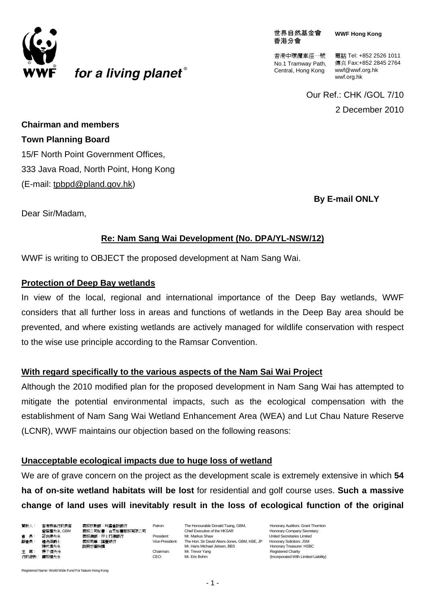

世界自然基金會 香港分會

**WWF Hong Kong**

No.1 Tramway Path, Central, Hong Kong

香港中環纜車徑一號 電話 Tel: +852 2526 1011 傳真 Fax:+852 2845 2764 wwf@wwf.org.hk wwf.org.hk

Our Ref.: CHK /GOL 7/10

2 December 2010

**Chairman and members Town Planning Board**  15/F North Point Government Offices, 333 Java Road, North Point, Hong Kong (E-mail: [tpbpd@pland.gov.hk\)](mailto:tpbpd@pland.gov.hk)

for a living planet<sup>®</sup>

**By E-mail ONLY** 

Dear Sir/Madam,

### **Re: Nam Sang Wai Development (No. DPA/YL-NSW/12)**

WWF is writing to OBJECT the proposed development at Nam Sang Wai.

#### **Protection of Deep Bay wetlands**

In view of the local, regional and international importance of the Deep Bay wetlands, WWF considers that all further loss in areas and functions of wetlands in the Deep Bay area should be prevented, and where existing wetlands are actively managed for wildlife conservation with respect to the wise use principle according to the Ramsar Convention.

#### **With regard specifically to the various aspects of the Nam Sai Wai Project**

Although the 2010 modified plan for the proposed development in Nam Sang Wai has attempted to mitigate the potential environmental impacts, such as the ecological compensation with the establishment of Nam Sang Wai Wetland Enhancement Area (WEA) and Lut Chau Nature Reserve (LCNR), WWF maintains our objection based on the following reasons:

#### **Unacceptable ecological impacts due to huge loss of wetland**

We are of grave concern on the project as the development scale is extremely extensive in which **54 ha of on-site wetland habitats will be lost** for residential and golf course uses. **Such a massive change of land uses will inevitably result in the loss of ecological function of the original** 

| 贊助人:  | 香港特區行政長官  | 翥 |
|-------|-----------|---|
|       | 曾蔭權先生,GBM | 溝 |
| 會 長:  | 邵在德先生     | 溝 |
| 副會長:  | 鍾逸傑爵士     | 溝 |
|       | 捷成漢先生     | Ħ |
| 主 席:  | 楊子信先生     |   |
| 行政總裁: | 龐毅理先生     |   |
|       |           |   |

贊助人: 香港特區行政長官 義務核數師:均富會計師行 Patron: The Honourable Donald Tsang, GBM, Honorary Auditors: Grant Thornton 曾蔭權先生, GBM 義務公司秘書:合眾秘書服務有限公司 Chief Executive of the HKSAR Honorary Company Secretary:<br>- 睿 長: 邵在德先生 義務律師:孖士打律師行 President: Mr. Markus Shaw Prestary Company Secretaries Limited 副會長: 鍾逸傑爵士 義務司庫:匯豐銀行 Vice-President: The Hon. Sir David Akers-Jones, GBM, KBE, JP Honorary Solicitors: JSM 主 席: 楊子信先生 Chairman: Mr. Trevor Yang Registered Charity Figure CEO: The Central Central Central Central Central Central Central Central Central Central Central Central Central Central Central Central Central Central Central Central Central Central Central Central Central Centra

Honorary Treasurer: HSBC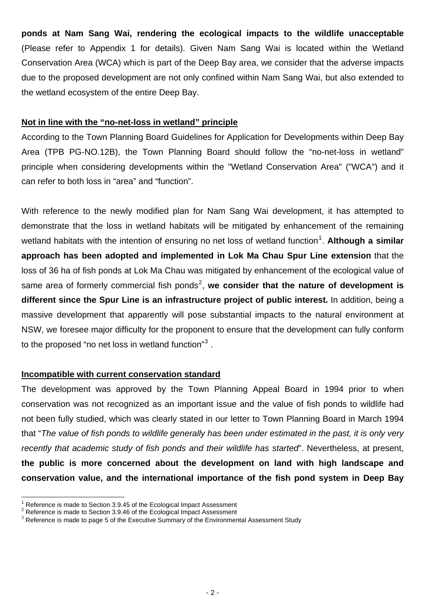**ponds at Nam Sang Wai, rendering the ecological impacts to the wildlife unacceptable**  (Please refer to Appendix 1 for details). Given Nam Sang Wai is located within the Wetland Conservation Area (WCA) which is part of the Deep Bay area, we consider that the adverse impacts due to the proposed development are not only confined within Nam Sang Wai, but also extended to the wetland ecosystem of the entire Deep Bay.

#### **Not in line with the "no-net-loss in wetland" principle**

According to the Town Planning Board Guidelines for Application for Developments within Deep Bay Area (TPB PG-NO.12B), the Town Planning Board should follow the "no-net-loss in wetland" principle when considering developments within the "Wetland Conservation Area" ("WCA") and it can refer to both loss in "area" and "function".

With reference to the newly modified plan for Nam Sang Wai development, it has attempted to demonstrate that the loss in wetland habitats will be mitigated by enhancement of the remaining wetland habitats with the intention of ensuring no net loss of wetland function<sup>[1](#page-1-0)</sup>. Although a similar **approach has been adopted and implemented in Lok Ma Chau Spur Line extension** that the loss of 36 ha of fish ponds at Lok Ma Chau was mitigated by enhancement of the ecological value of same area of formerly commercial fish ponds<sup>[2](#page-1-1)</sup>, we consider that the nature of development is **different since the Spur Line is an infrastructure project of public interest.** In addition, being a massive development that apparently will pose substantial impacts to the natural environment at NSW, we foresee major difficulty for the proponent to ensure that the development can fully conform to the proposed "no net loss in wetland function"<sup>[3](#page-1-2)</sup>.

#### **Incompatible with current conservation standard**

The development was approved by the Town Planning Appeal Board in 1994 prior to when conservation was not recognized as an important issue and the value of fish ponds to wildlife had not been fully studied, which was clearly stated in our letter to Town Planning Board in March 1994 that "*The value of fish ponds to wildlife generally has been under estimated in the past, it is only very recently that academic study of fish ponds and their wildlife has started*". Nevertheless, at present, **the public is more concerned about the development on land with high landscape and conservation value, and the international importance of the fish pond system in Deep Bay** 

 $\overline{a}$ <sup>1</sup> Reference is made to Section 3.9.45 of the Ecological Impact Assessment  $\frac{2}{3}$  Reference is made to Section 3.9.46 of the Ecological Impact Assessment

<span id="page-1-2"></span><span id="page-1-1"></span><span id="page-1-0"></span>Reference is made to Section 3.9.46 of the Ecological Impact Assessment<br>
<sup>3</sup> Reference is made to page 5 of the Executive Summary of the Environmental Assessment Study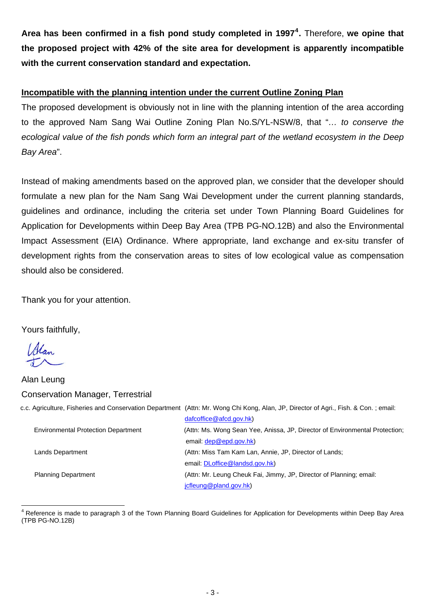**Area has been confirmed in a fish pond study completed in 1997[4](#page-2-0) .** Therefore, **we opine that the proposed project with 42% of the site area for development is apparently incompatible with the current conservation standard and expectation.** 

### **Incompatible with the planning intention under the current Outline Zoning Plan**

The proposed development is obviously not in line with the planning intention of the area according to the approved Nam Sang Wai Outline Zoning Plan No.S/YL-NSW/8, that "*… to conserve the ecological value of the fish ponds which form an integral part of the wetland ecosystem in the Deep Bay Area*".

Instead of making amendments based on the approved plan, we consider that the developer should formulate a new plan for the Nam Sang Wai Development under the current planning standards, guidelines and ordinance, including the criteria set under Town Planning Board Guidelines for Application for Developments within Deep Bay Area (TPB PG-NO.12B) and also the Environmental Impact Assessment (EIA) Ordinance. Where appropriate, land exchange and ex-situ transfer of development rights from the conservation areas to sites of low ecological value as compensation should also be considered.

Thank you for your attention.

Yours faithfully,

Alan

Alan Leung Conservation Manager, Terrestrial c.c. Agriculture, Fisheries and Conservation Department (Attn: Mr. Wong Chi Kong, Alan, JP, Director of Agri., Fish. & Con. ; email: [dafcoffice@afcd.gov.hk\)](mailto:dafcoffice@afcd.gov.hk) Environmental Protection Department (Attn: Ms. Wong Sean Yee, Anissa, JP, Director of Environmental Protection; email: [dep@epd.gov.hk](mailto:dep@epd.gov.hk)) Lands Department (Attn: Miss Tam Kam Lan, Annie, JP, Director of Lands; email: [DLoffice@landsd.gov.hk](mailto:DLoffice@landsd.gov.hk)) Planning Department (Attn: Mr. Leung Cheuk Fai, Jimmy, JP, Director of Planning; email: [jcfleung@pland.gov.hk](mailto:jcfleung@pland.gov.hk))

<span id="page-2-0"></span> $\overline{a}$ <sup>4</sup> Reference is made to paragraph 3 of the Town Planning Board Guidelines for Application for Developments within Deep Bay Area (TPB PG-NO.12B)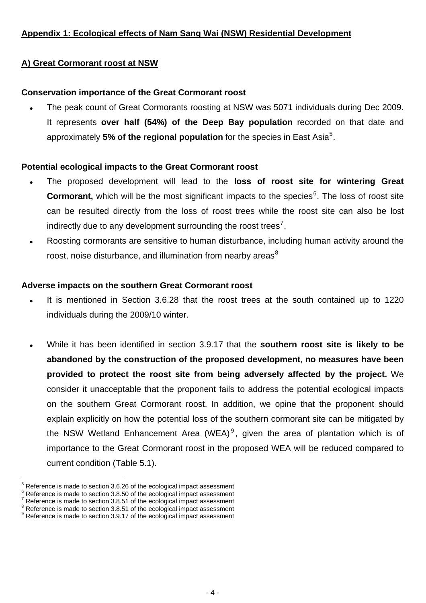# **Appendix 1: Ecological effects of Nam Sang Wai (NSW) Residential Development**

### **A) Great Cormorant roost at NSW**

### **Conservation importance of the Great Cormorant roost**

• The peak count of Great Cormorants roosting at NSW was 5071 individuals during Dec 2009. It represents **over half (54%) of the Deep Bay population** recorded on that date and approximately [5](#page-3-0)% of the regional population for the species in East Asia<sup>5</sup>.

### **Potential ecological impacts to the Great Cormorant roost**

- . The proposed development will lead to the loss of roost site for wintering Great **Cormorant,** which will be the most significant impacts to the species<sup>[6](#page-3-1)</sup>. The loss of roost site can be resulted directly from the loss of roost trees while the roost site can also be lost indirectly due to any development surrounding the roost trees<sup>[7](#page-3-2)</sup>.
- Roosting cormorants are sensitive to human disturbance, including human activity around the roost, noise disturbance, and illumination from nearby areas $8$

#### **Adverse impacts on the southern Great Cormorant roost**

- It is mentioned in Section 3.6.28 that the roost trees at the south contained up to 1220 individuals during the 2009/10 winter.
- <sup>z</sup> While it has been identified in section 3.9.17 that the **southern roost site is likely to be abandoned by the construction of the proposed development**, **no measures have been provided to protect the roost site from being adversely affected by the project.** We consider it unacceptable that the proponent fails to address the potential ecological impacts on the southern Great Cormorant roost. In addition, we opine that the proponent should explain explicitly on how the potential loss of the southern cormorant site can be mitigated by the NSW Wetland Enhancement Area (WEA)<sup>[9](#page-3-4)</sup>, given the area of plantation which is of importance to the Great Cormorant roost in the proposed WEA will be reduced compared to current condition (Table 5.1).

 $\overline{a}$ 

<span id="page-3-0"></span><sup>5</sup>  $^{\circ}$  Reference is made to section 3.6.26 of the ecological impact assessment  $^{\circ}$  Peterspace is made to section 3.9.50 of the ecological impact assessment

 $\frac{R}{7}$  Reference is made to section 3.8.50 of the ecological impact assessment  $\frac{7}{7}$  Reference is made to section 3.9.54 of the ecological impact assessment

<span id="page-3-1"></span>Reference is made to section 3.8.51 of the ecological impact assessment

<span id="page-3-3"></span><span id="page-3-2"></span>**Reference is made to section 3.8.51 of the ecological impact assessment** 

<span id="page-3-4"></span><sup>&</sup>lt;sup>9</sup> Reference is made to section 3.9.17 of the ecological impact assessment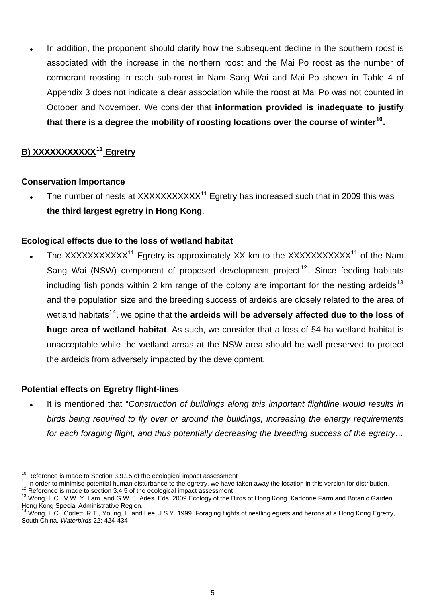In addition, the proponent should clarify how the subsequent decline in the southern roost is associated with the increase in the northern roost and the Mai Po roost as the number of cormorant roosting in each sub-roost in Nam Sang Wai and Mai Po shown in Table 4 of Appendix 3 does not indicate a clear association while the roost at Mai Po was not counted in October and November. We consider that **information provided is inadequate to justify that there is a degree the mobility of roosting locations over the course of winter[10](#page-4-0).**

# **B) XXXXXXXXXXX[11](#page-4-1) Egretry**

# **Conservation Importance**

Fig. The number of nests at  $XXXXXXXXX^{11}$  Egretry has increased such that in 2009 this was **the third largest egretry in Hong Kong**.

# **Ecological effects due to the loss of wetland habitat**

The XXXXXXXXXX<sup>11</sup> Egretry is approximately XX km to the XXXXXXXXXX<sup>11</sup> of the Nam Sang Wai (NSW) component of proposed development project<sup>[12](#page-4-2)</sup>. Since feeding habitats including fish ponds within 2 km range of the colony are important for the nesting ardeids<sup>[13](#page-4-3)</sup> and the population size and the breeding success of ardeids are closely related to the area of wetland habitats<sup>[14](#page-4-4)</sup>, we opine that the ardeids will be adversely affected due to the loss of **huge area of wetland habitat**. As such, we consider that a loss of 54 ha wetland habitat is unacceptable while the wetland areas at the NSW area should be well preserved to protect the ardeids from adversely impacted by the development.

# **Potential effects on Egretry flight-lines**

 $\overline{a}$ 

It is mentioned that "Construction of buildings along this important flightline would results in *birds being required to fly over or around the buildings, increasing the energy requirements for each foraging flight, and thus potentially decreasing the breeding success of the egretry…* 

<span id="page-4-1"></span><span id="page-4-0"></span>

<sup>&</sup>lt;sup>10</sup> Reference is made to Section 3.9.15 of the ecological impact assessment<br><sup>11</sup> In order to minimise potential human disturbance to the egretry, we have taken away the location in this version for distribution.<br><sup>12</sup> Ref

<span id="page-4-3"></span><span id="page-4-2"></span>Hong Kong Special Administrative Region.

<span id="page-4-4"></span><sup>&</sup>lt;sup>14</sup> Wong, L.C., Corlett, R.T., Young, L. and Lee, J.S.Y. 1999. Foraging flights of nestling egrets and herons at a Hong Kong Egretry, South China. *Waterbirds* 22: 424-434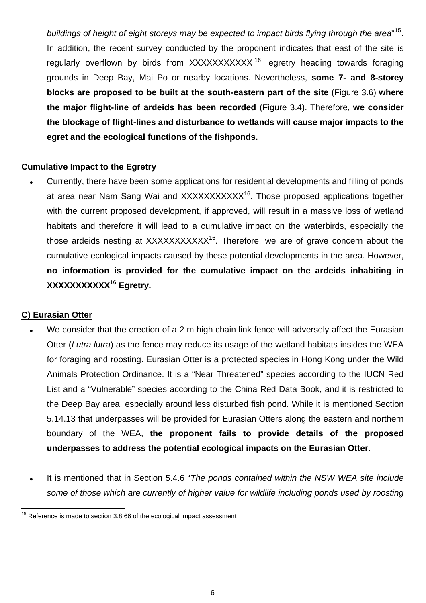*buildings of height of eight storeys may be expected to impact birds flying through the area*" [15](#page-5-0). In addition, the recent survey conducted by the proponent indicates that east of the site is regularly overflown by birds from XXXXXXXXXX<sup>[16](#page-5-1)</sup> egretry heading towards foraging grounds in Deep Bay, Mai Po or nearby locations. Nevertheless, **some 7- and 8-storey blocks are proposed to be built at the south-eastern part of the site** (Figure 3.6) **where the major flight-line of ardeids has been recorded** (Figure 3.4). Therefore, **we consider the blockage of flight-lines and disturbance to wetlands will cause major impacts to the egret and the ecological functions of the fishponds.** 

### **Cumulative Impact to the Egretry**

Currently, there have been some applications for residential developments and filling of ponds at area near Nam Sang Wai and XXXXXXXXXX<sup>16</sup>. Those proposed applications together with the current proposed development, if approved, will result in a massive loss of wetland habitats and therefore it will lead to a cumulative impact on the waterbirds, especially the those ardeids nesting at  $XXXXXXXXX<sup>16</sup>$ . Therefore, we are of grave concern about the cumulative ecological impacts caused by these potential developments in the area. However, **no information is provided for the cumulative impact on the ardeids inhabiting in XXXXXXXXXXX**<sup>16</sup> **Egretry.** 

#### **C) Eurasian Otter**

- We consider that the erection of a 2 m high chain link fence will adversely affect the Eurasian Otter (*Lutra lutra*) as the fence may reduce its usage of the wetland habitats insides the WEA for foraging and roosting. Eurasian Otter is a protected species in Hong Kong under the Wild Animals Protection Ordinance. It is a "Near Threatened" species according to the IUCN Red List and a "Vulnerable" species according to the China Red Data Book, and it is restricted to the Deep Bay area, especially around less disturbed fish pond. While it is mentioned Section 5.14.13 that underpasses will be provided for Eurasian Otters along the eastern and northern boundary of the WEA, **the proponent fails to provide details of the proposed underpasses to address the potential ecological impacts on the Eurasian Otter**.
- It is mentioned that in Section 5.4.6 "The ponds contained within the NSW WEA site include *some of those which are currently of higher value for wildlife including ponds used by roosting*

<span id="page-5-1"></span><span id="page-5-0"></span> $\overline{a}$  $15$  Reference is made to section 3.8.66 of the ecological impact assessment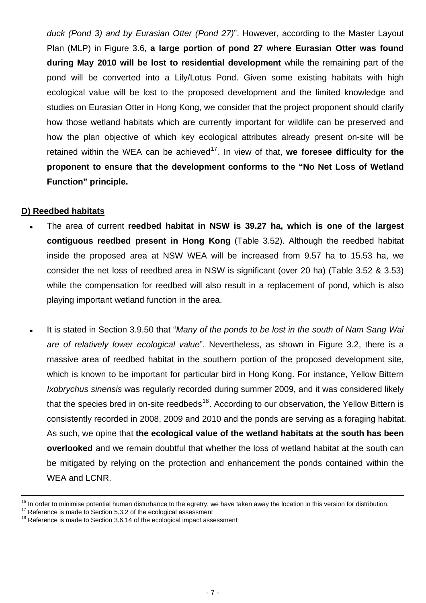*duck (Pond 3) and by Eurasian Otter (Pond 27)*". However, according to the Master Layout Plan (MLP) in Figure 3.6, **a large portion of pond 27 where Eurasian Otter was found during May 2010 will be lost to residential development** while the remaining part of the pond will be converted into a Lily/Lotus Pond. Given some existing habitats with high ecological value will be lost to the proposed development and the limited knowledge and studies on Eurasian Otter in Hong Kong, we consider that the project proponent should clarify how those wetland habitats which are currently important for wildlife can be preserved and how the plan objective of which key ecological attributes already present on-site will be retained within the WEA can be achieved<sup>[17](#page-6-0)</sup>. In view of that, we foresee difficulty for the **proponent to ensure that the development conforms to the "No Net Loss of Wetland Function" principle.**

### **D) Reedbed habitats**

- The area of current **reedbed habitat in NSW is 39.27 ha, which is one of the largest contiguous reedbed present in Hong Kong** (Table 3.52). Although the reedbed habitat inside the proposed area at NSW WEA will be increased from 9.57 ha to 15.53 ha, we consider the net loss of reedbed area in NSW is significant (over 20 ha) (Table 3.52 & 3.53) while the compensation for reedbed will also result in a replacement of pond, which is also playing important wetland function in the area.
- It is stated in Section 3.9.50 that "*Many of the ponds to be lost in the south of Nam Sang Wai are of relatively lower ecological value*". Nevertheless, as shown in Figure 3.2, there is a massive area of reedbed habitat in the southern portion of the proposed development site, which is known to be important for particular bird in Hong Kong. For instance, Yellow Bittern *Ixobrychus sinensis* was regularly recorded during summer 2009, and it was considered likely that the species bred in on-site reedbeds<sup>[18](#page-6-1)</sup>. According to our observation, the Yellow Bittern is consistently recorded in 2008, 2009 and 2010 and the ponds are serving as a foraging habitat. As such, we opine that **the ecological value of the wetland habitats at the south has been overlooked** and we remain doubtful that whether the loss of wetland habitat at the south can be mitigated by relying on the protection and enhancement the ponds contained within the WEA and LCNR.

<sup>&</sup>lt;sup>16</sup> In order to minimise potential human disturbance to the egretry, we have taken away the location in this version for distribution.

<span id="page-6-0"></span> $17$  Reference is made to Section 5.3.2 of the ecological assessment

<span id="page-6-1"></span> $18$  Reference is made to Section 3.6.14 of the ecological impact assessment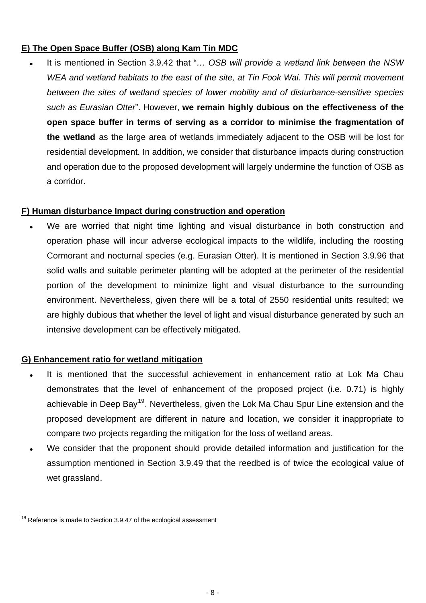# **E) The Open Space Buffer (OSB) along Kam Tin MDC**

It is mentioned in Section 3.9.42 that "... OSB will provide a wetland link between the NSW *WEA and wetland habitats to the east of the site, at Tin Fook Wai. This will permit movement between the sites of wetland species of lower mobility and of disturbance-sensitive species such as Eurasian Otter*". However, **we remain highly dubious on the effectiveness of the open space buffer in terms of serving as a corridor to minimise the fragmentation of the wetland** as the large area of wetlands immediately adjacent to the OSB will be lost for residential development. In addition, we consider that disturbance impacts during construction and operation due to the proposed development will largely undermine the function of OSB as a corridor.

# **F) Human disturbance Impact during construction and operation**

We are worried that night time lighting and visual disturbance in both construction and operation phase will incur adverse ecological impacts to the wildlife, including the roosting Cormorant and nocturnal species (e.g. Eurasian Otter). It is mentioned in Section 3.9.96 that solid walls and suitable perimeter planting will be adopted at the perimeter of the residential portion of the development to minimize light and visual disturbance to the surrounding environment. Nevertheless, given there will be a total of 2550 residential units resulted; we are highly dubious that whether the level of light and visual disturbance generated by such an intensive development can be effectively mitigated.

# **G) Enhancement ratio for wetland mitigation**

- It is mentioned that the successful achievement in enhancement ratio at Lok Ma Chau demonstrates that the level of enhancement of the proposed project (i.e. 0.71) is highly achievable in Deep Bay<sup>[19](#page-7-0)</sup>. Nevertheless, given the Lok Ma Chau Spur Line extension and the proposed development are different in nature and location, we consider it inappropriate to compare two projects regarding the mitigation for the loss of wetland areas.
- We consider that the proponent should provide detailed information and justification for the assumption mentioned in Section 3.9.49 that the reedbed is of twice the ecological value of wet grassland.

 $\overline{a}$ 

<span id="page-7-0"></span> $19$  Reference is made to Section 3.9.47 of the ecological assessment